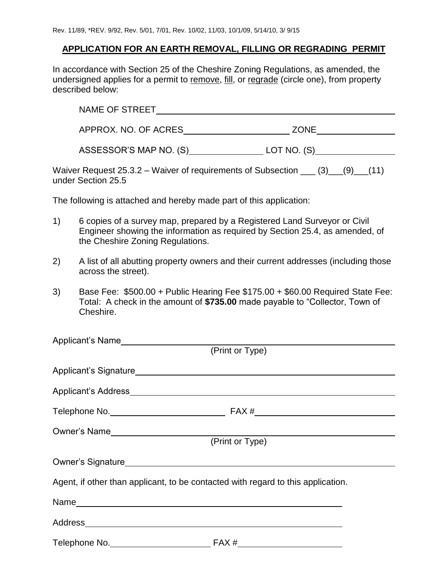## **APPLICATION FOR AN EARTH REMOVAL, FILLING OR REGRADING PERMIT**

In accordance with Section 25 of the Cheshire Zoning Regulations, as amended, the undersigned applies for a permit to remove, fill, or regrade (circle one), from property described below:

| <b>NAME OF STREET</b>  |               |  |
|------------------------|---------------|--|
| APPROX. NO. OF ACRES   | <b>ZONE</b>   |  |
| ASSESSOR'S MAP NO. (S) | LOT NO. $(S)$ |  |

Waiver Request  $25.3.2$  – Waiver of requirements of Subsection  $\underline{\hspace{1cm}}(3)$   $\underline{\hspace{1cm}}(9)$   $\underline{\hspace{1cm}}(11)$ under Section 25.5

The following is attached and hereby made part of this application:

- 1) 6 copies of a survey map, prepared by a Registered Land Surveyor or Civil Engineer showing the information as required by Section 25.4, as amended, of the Cheshire Zoning Regulations.
- 2) A list of all abutting property owners and their current addresses (including those across the street).
- 3) Base Fee: \$500.00 + Public Hearing Fee \$175.00 + \$60.00 Required State Fee: Total: A check in the amount of **\$735.00** made payable to "Collector, Town of Cheshire.

| Applicant's Name<br><u>Applicant's Name</u>                                      |                 |  |
|----------------------------------------------------------------------------------|-----------------|--|
|                                                                                  | (Print or Type) |  |
|                                                                                  |                 |  |
|                                                                                  |                 |  |
|                                                                                  |                 |  |
| Owner's Name                                                                     |                 |  |
|                                                                                  | (Print or Type) |  |
|                                                                                  |                 |  |
| Agent, if other than applicant, to be contacted with regard to this application. |                 |  |
|                                                                                  |                 |  |
|                                                                                  |                 |  |
| Telephone No.                                                                    | FAX#            |  |